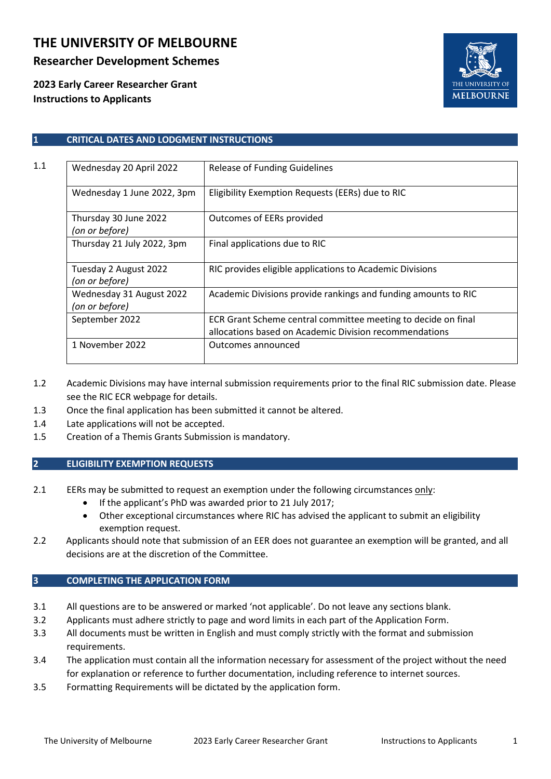# **THE UNIVERSITY OF MELBOURNE**

## **Researcher Development Schemes**

**2023 Early Career Researcher Grant Instructions to Applicants**



### **1 CRITICAL DATES AND LODGMENT INSTRUCTIONS**

| 1.1 | Wednesday 20 April 2022                    | <b>Release of Funding Guidelines</b>                                                                                    |  |  |
|-----|--------------------------------------------|-------------------------------------------------------------------------------------------------------------------------|--|--|
|     | Wednesday 1 June 2022, 3pm                 | Eligibility Exemption Requests (EERs) due to RIC                                                                        |  |  |
|     | Thursday 30 June 2022<br>(on or before)    | Outcomes of EERs provided                                                                                               |  |  |
|     | Thursday 21 July 2022, 3pm                 | Final applications due to RIC                                                                                           |  |  |
|     | Tuesday 2 August 2022<br>(on or before)    | RIC provides eligible applications to Academic Divisions                                                                |  |  |
|     | Wednesday 31 August 2022<br>(on or before) | Academic Divisions provide rankings and funding amounts to RIC                                                          |  |  |
|     | September 2022                             | ECR Grant Scheme central committee meeting to decide on final<br>allocations based on Academic Division recommendations |  |  |
|     | 1 November 2022                            | Outcomes announced                                                                                                      |  |  |

- 1.2 Academic Divisions may have internal submission requirements prior to the final RIC submission date. Please see the RIC ECR webpage for details.
- 1.3 Once the final application has been submitted it cannot be altered.
- 1.4 Late applications will not be accepted.
- 1.5 Creation of a Themis Grants Submission is mandatory.

### **2 ELIGIBILITY EXEMPTION REQUESTS**

- 2.1 EERs may be submitted to request an exemption under the following circumstances only:
	- If the applicant's PhD was awarded prior to 21 July 2017;
	- Other exceptional circumstances where RIC has advised the applicant to submit an eligibility exemption request.
- 2.2 Applicants should note that submission of an EER does not guarantee an exemption will be granted, and all decisions are at the discretion of the Committee.

### **3 COMPLETING THE APPLICATION FORM**

- 3.1 All questions are to be answered or marked 'not applicable'. Do not leave any sections blank.
- 3.2 Applicants must adhere strictly to page and word limits in each part of the Application Form.
- 3.3 All documents must be written in English and must comply strictly with the format and submission requirements.
- 3.4 The application must contain all the information necessary for assessment of the project without the need for explanation or reference to further documentation, including reference to internet sources.
- 3.5 Formatting Requirements will be dictated by the application form.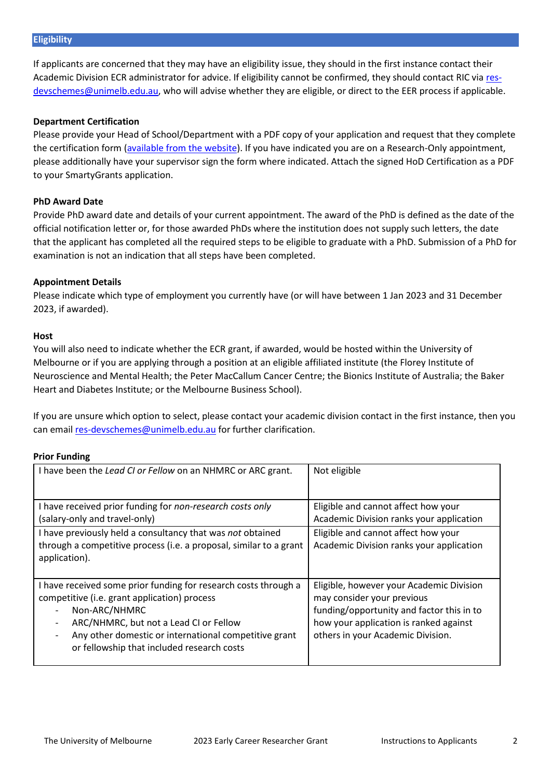If applicants are concerned that they may have an eligibility issue, they should in the first instance contact their Academic Division ECR administrator for advice. If eligibility cannot be confirmed, they should contact RIC via [res](mailto:res-devschemes@unimelb.edu.au)[devschemes@unimelb.edu.au,](mailto:res-devschemes@unimelb.edu.au) who will advise whether they are eligible, or direct to the EER process if applicable.

### **Department Certification**

Please provide your Head of School/Department with a PDF copy of your application and request that they complete the certification form [\(available from the website\)](https://sites.research.unimelb.edu.au/research-funding/internal/ecr). If you have indicated you are on a Research-Only appointment, please additionally have your supervisor sign the form where indicated. Attach the signed HoD Certification as a PDF to your SmartyGrants application.

### **PhD Award Date**

Provide PhD award date and details of your current appointment. The award of the PhD is defined as the date of the official notification letter or, for those awarded PhDs where the institution does not supply such letters, the date that the applicant has completed all the required steps to be eligible to graduate with a PhD. Submission of a PhD for examination is not an indication that all steps have been completed.

### **Appointment Details**

Please indicate which type of employment you currently have (or will have between 1 Jan 2023 and 31 December 2023, if awarded).

#### **Host**

You will also need to indicate whether the ECR grant, if awarded, would be hosted within the University of Melbourne or if you are applying through a position at an eligible affiliated institute (the Florey Institute of Neuroscience and Mental Health; the Peter MacCallum Cancer Centre; the Bionics Institute of Australia; the Baker Heart and Diabetes Institute; or the Melbourne Business School).

If you are unsure which option to select, please contact your academic division contact in the first instance, then you can email [res-devschemes@unimelb.edu.au](mailto:res-devschemes@unimelb.edu.au) for further clarification.

### **Prior Funding**

| I have been the Lead CI or Fellow on an NHMRC or ARC grant.                                                                                                                                                                                                                       | Not eligible                                                                                                                                                                                       |  |  |
|-----------------------------------------------------------------------------------------------------------------------------------------------------------------------------------------------------------------------------------------------------------------------------------|----------------------------------------------------------------------------------------------------------------------------------------------------------------------------------------------------|--|--|
| I have received prior funding for non-research costs only<br>(salary-only and travel-only)                                                                                                                                                                                        | Eligible and cannot affect how your<br>Academic Division ranks your application                                                                                                                    |  |  |
| I have previously held a consultancy that was not obtained<br>through a competitive process (i.e. a proposal, similar to a grant<br>application).                                                                                                                                 | Eligible and cannot affect how your<br>Academic Division ranks your application                                                                                                                    |  |  |
| I have received some prior funding for research costs through a<br>competitive (i.e. grant application) process<br>Non-ARC/NHMRC<br>ARC/NHMRC, but not a Lead CI or Fellow<br>Any other domestic or international competitive grant<br>or fellowship that included research costs | Eligible, however your Academic Division<br>may consider your previous<br>funding/opportunity and factor this in to<br>how your application is ranked against<br>others in your Academic Division. |  |  |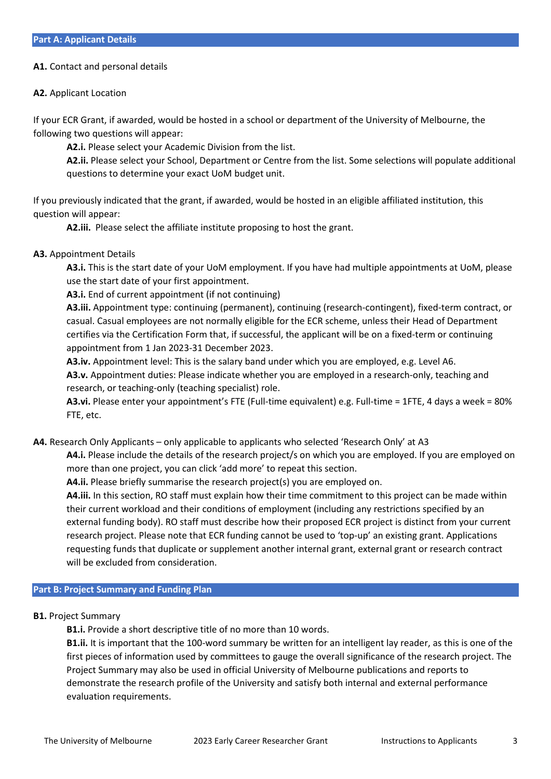#### **A1.** Contact and personal details

#### **A2.** Applicant Location

If your ECR Grant, if awarded, would be hosted in a school or department of the University of Melbourne, the following two questions will appear:

**A2.i.** Please select your Academic Division from the list.

**A2.ii.** Please select your School, Department or Centre from the list. Some selections will populate additional questions to determine your exact UoM budget unit.

If you previously indicated that the grant, if awarded, would be hosted in an eligible affiliated institution, this question will appear:

**A2.iii.** Please select the affiliate institute proposing to host the grant.

#### **A3.** Appointment Details

**A3.i.** This is the start date of your UoM employment. If you have had multiple appointments at UoM, please use the start date of your first appointment.

**A3.i.** End of current appointment (if not continuing)

**A3.iii.** Appointment type: continuing (permanent), continuing (research-contingent), fixed-term contract, or casual. Casual employees are not normally eligible for the ECR scheme, unless their Head of Department certifies via the Certification Form that, if successful, the applicant will be on a fixed-term or continuing appointment from 1 Jan 2023-31 December 2023.

**A3.iv.** Appointment level: This is the salary band under which you are employed, e.g. Level A6. **A3.v.** Appointment duties: Please indicate whether you are employed in a research-only, teaching and research, or teaching-only (teaching specialist) role.

**A3.vi.** Please enter your appointment's FTE (Full-time equivalent) e.g. Full-time = 1FTE, 4 days a week = 80% FTE, etc.

**A4.** Research Only Applicants – only applicable to applicants who selected 'Research Only' at A3

**A4.i.** Please include the details of the research project/s on which you are employed. If you are employed on more than one project, you can click 'add more' to repeat this section.

**A4.ii.** Please briefly summarise the research project(s) you are employed on.

**A4.iii.** In this section, RO staff must explain how their time commitment to this project can be made within their current workload and their conditions of employment (including any restrictions specified by an external funding body). RO staff must describe how their proposed ECR project is distinct from your current research project. Please note that ECR funding cannot be used to 'top-up' an existing grant. Applications requesting funds that duplicate or supplement another internal grant, external grant or research contract will be excluded from consideration.

#### **Part B: Project Summary and Funding Plan**

**B1.** Project Summary

**B1.i.** Provide a short descriptive title of no more than 10 words.

**B1.ii.** It is important that the 100-word summary be written for an intelligent lay reader, as this is one of the first pieces of information used by committees to gauge the overall significance of the research project. The Project Summary may also be used in official University of Melbourne publications and reports to demonstrate the research profile of the University and satisfy both internal and external performance evaluation requirements.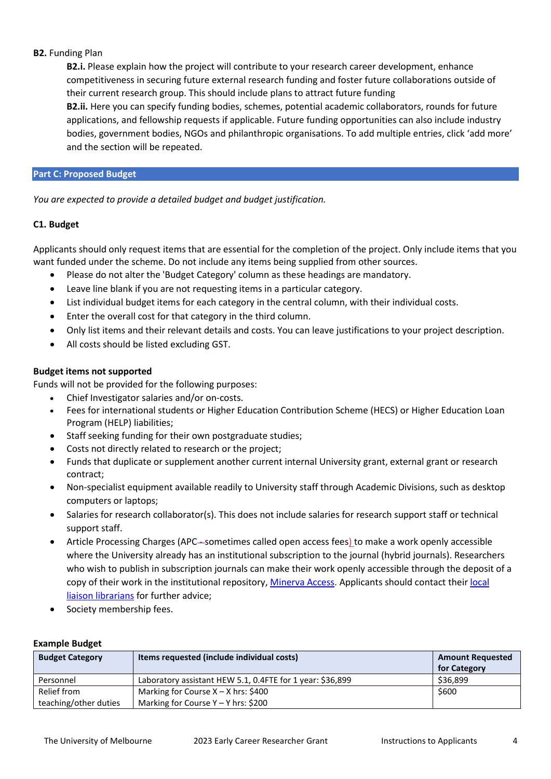### **B2.** Funding Plan

**B2.i.** Please explain how the project will contribute to your research career development, enhance competitiveness in securing future external research funding and foster future collaborations outside of their current research group. This should include plans to attract future funding

**B2.ii.** Here you can specify funding bodies, schemes, potential academic collaborators, rounds for future applications, and fellowship requests if applicable. Future funding opportunities can also include industry bodies, government bodies, NGOs and philanthropic organisations. To add multiple entries, click 'add more' and the section will be repeated.

### **Part C: Proposed Budget**

*You are expected to provide a detailed budget and budget justification.*

### **C1. Budget**

Applicants should only request items that are essential for the completion of the project. Only include items that you want funded under the scheme. Do not include any items being supplied from other sources.

- Please do not alter the 'Budget Category' column as these headings are mandatory.
- Leave line blank if you are not requesting items in a particular category.
- List individual budget items for each category in the central column, with their individual costs.
- Enter the overall cost for that category in the third column.
- Only list items and their relevant details and costs. You can leave justifications to your project description.
- All costs should be listed excluding GST.

### **Budget items not supported**

Funds will not be provided for the following purposes:

- Chief Investigator salaries and/or on-costs.
- Fees for international students or Higher Education Contribution Scheme (HECS) or Higher Education Loan Program (HELP) liabilities;
- Staff seeking funding for their own postgraduate studies;
- Costs not directly related to research or the project;
- Funds that duplicate or supplement another current internal University grant, external grant or research contract;
- Non-specialist equipment available readily to University staff through Academic Divisions, such as desktop computers or laptops;
- Salaries for research collaborator(s). This does not include salaries for research support staff or technical support staff.
- Article Processing Charges (APC—sometimes called open access fees) to make a work openly accessible where the University already has an institutional subscription to the journal (hybrid journals). Researchers who wish to publish in subscription journals can make their work openly accessible through the deposit of a copy of their work in the institutional repository, [Minerva Access.](https://minerva-access.unimelb.edu.au/) Applicants should contact their [local](https://library.unimelb.edu.au/liaison)  [liaison librarians](https://library.unimelb.edu.au/liaison) for further advice;
- Society membership fees.

| $-$                    |                                                           |                                         |  |  |  |  |
|------------------------|-----------------------------------------------------------|-----------------------------------------|--|--|--|--|
| <b>Budget Category</b> | Items requested (include individual costs)                | <b>Amount Requested</b><br>for Category |  |  |  |  |
| Personnel              | Laboratory assistant HEW 5.1, 0.4FTE for 1 year: \$36,899 | \$36,899                                |  |  |  |  |
| Relief from            | Marking for Course $X - X$ hrs: \$400                     | \$600                                   |  |  |  |  |
| teaching/other duties  | Marking for Course $Y - Y$ hrs: \$200                     |                                         |  |  |  |  |

### **Example Budget**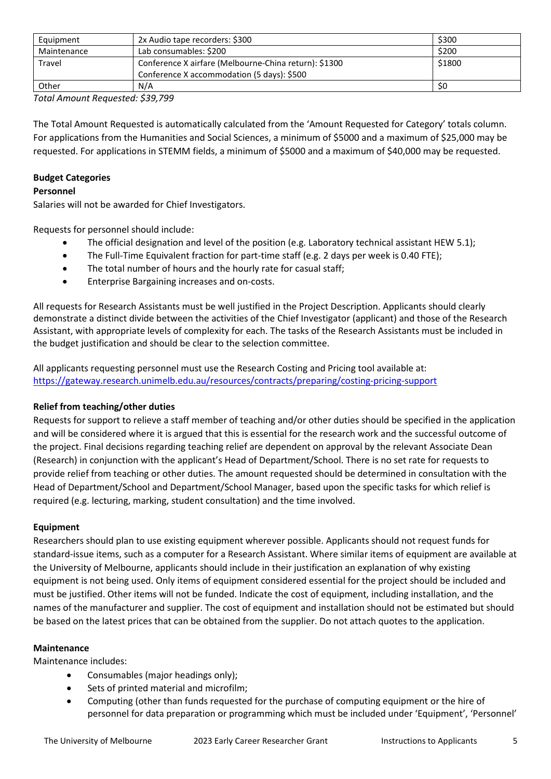| Equipment                                                              | 2x Audio tape recorders: \$300             | \$300  |
|------------------------------------------------------------------------|--------------------------------------------|--------|
| Maintenance                                                            | Lab consumables: \$200                     | \$200  |
| <b>Travel</b><br>Conference X airfare (Melbourne-China return): \$1300 |                                            | \$1800 |
|                                                                        | Conference X accommodation (5 days): \$500 |        |
| Other                                                                  | N/A                                        | \$0    |

*Total Amount Requested: \$39,799* 

The Total Amount Requested is automatically calculated from the 'Amount Requested for Category' totals column. For applications from the Humanities and Social Sciences, a minimum of \$5000 and a maximum of \$25,000 may be requested. For applications in STEMM fields, a minimum of \$5000 and a maximum of \$40,000 may be requested.

### **Budget Categories**

### **Personnel**

Salaries will not be awarded for Chief Investigators.

Requests for personnel should include:

- The official designation and level of the position (e.g. Laboratory technical assistant HEW 5.1);
- The Full-Time Equivalent fraction for part-time staff (e.g. 2 days per week is 0.40 FTE);
- The total number of hours and the hourly rate for casual staff;
- Enterprise Bargaining increases and on-costs.

All requests for Research Assistants must be well justified in the Project Description. Applicants should clearly demonstrate a distinct divide between the activities of the Chief Investigator (applicant) and those of the Research Assistant, with appropriate levels of complexity for each. The tasks of the Research Assistants must be included in the budget justification and should be clear to the selection committee.

All applicants requesting personnel must use the Research Costing and Pricing tool available at: <https://gateway.research.unimelb.edu.au/resources/contracts/preparing/costing-pricing-support>

### **Relief from teaching/other duties**

Requests for support to relieve a staff member of teaching and/or other duties should be specified in the application and will be considered where it is argued that this is essential for the research work and the successful outcome of the project. Final decisions regarding teaching relief are dependent on approval by the relevant Associate Dean (Research) in conjunction with the applicant's Head of Department/School. There is no set rate for requests to provide relief from teaching or other duties. The amount requested should be determined in consultation with the Head of Department/School and Department/School Manager, based upon the specific tasks for which relief is required (e.g. lecturing, marking, student consultation) and the time involved.

### **Equipment**

Researchers should plan to use existing equipment wherever possible. Applicants should not request funds for standard-issue items, such as a computer for a Research Assistant. Where similar items of equipment are available at the University of Melbourne, applicants should include in their justification an explanation of why existing equipment is not being used. Only items of equipment considered essential for the project should be included and must be justified. Other items will not be funded. Indicate the cost of equipment, including installation, and the names of the manufacturer and supplier. The cost of equipment and installation should not be estimated but should be based on the latest prices that can be obtained from the supplier. Do not attach quotes to the application.

### **Maintenance**

Maintenance includes:

- Consumables (major headings only);
- Sets of printed material and microfilm;
- Computing (other than funds requested for the purchase of computing equipment or the hire of personnel for data preparation or programming which must be included under 'Equipment', 'Personnel'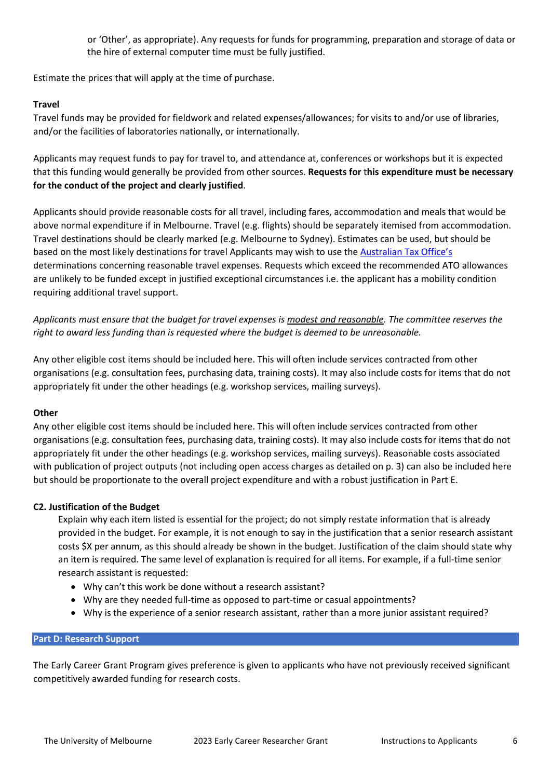or 'Other', as appropriate). Any requests for funds for programming, preparation and storage of data or the hire of external computer time must be fully justified.

Estimate the prices that will apply at the time of purchase.

### **Travel**

Travel funds may be provided for fieldwork and related expenses/allowances; for visits to and/or use of libraries, and/or the facilities of laboratories nationally, or internationally.

Applicants may request funds to pay for travel to, and attendance at, conferences or workshops but it is expected that this funding would generally be provided from other sources. **Requests for** t**his expenditure must be necessary for the conduct of the project and clearly justified**.

Applicants should provide reasonable costs for all travel, including fares, accommodation and meals that would be above normal expenditure if in Melbourne. Travel (e.g. flights) should be separately itemised from accommodation. Travel destinations should be clearly marked (e.g. Melbourne to Sydney). Estimates can be used, but should be based on the most likely destinations for travel Applicants may wish to use the [Australian Tax Office's](https://www.ato.gov.au/law/view/document?DocID=TXD/TD201719/NAT/ATO/00001) determinations concerning reasonable travel expenses. Requests which exceed the recommended ATO allowances are unlikely to be funded except in justified exceptional circumstances i.e. the applicant has a mobility condition requiring additional travel support.

*Applicants must ensure that the budget for travel expenses is modest and reasonable. The committee reserves the right to award less funding than is requested where the budget is deemed to be unreasonable.*

Any other eligible cost items should be included here. This will often include services contracted from other organisations (e.g. consultation fees, purchasing data, training costs). It may also include costs for items that do not appropriately fit under the other headings (e.g. workshop services, mailing surveys).

### **Other**

Any other eligible cost items should be included here. This will often include services contracted from other organisations (e.g. consultation fees, purchasing data, training costs). It may also include costs for items that do not appropriately fit under the other headings (e.g. workshop services, mailing surveys). Reasonable costs associated with publication of project outputs (not including open access charges as detailed on p. 3) can also be included here but should be proportionate to the overall project expenditure and with a robust justification in Part E.

### **C2. Justification of the Budget**

Explain why each item listed is essential for the project; do not simply restate information that is already provided in the budget. For example, it is not enough to say in the justification that a senior research assistant costs \$X per annum, as this should already be shown in the budget. Justification of the claim should state why an item is required. The same level of explanation is required for all items. For example, if a full-time senior research assistant is requested:

- Why can't this work be done without a research assistant?
- Why are they needed full-time as opposed to part-time or casual appointments?
- Why is the experience of a senior research assistant, rather than a more junior assistant required?

### **Part D: Research Support**

The Early Career Grant Program gives preference is given to applicants who have not previously received significant competitively awarded funding for research costs.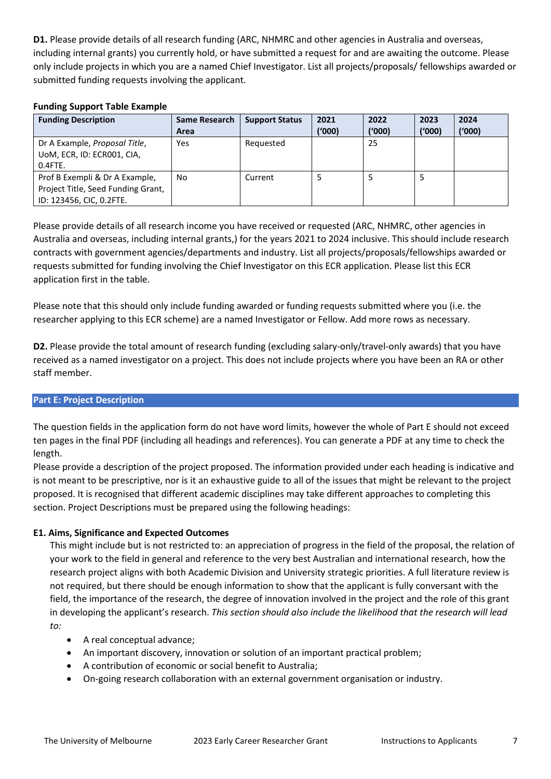**D1.** Please provide details of all research funding (ARC, NHMRC and other agencies in Australia and overseas, including internal grants) you currently hold, or have submitted a request for and are awaiting the outcome. Please only include projects in which you are a named Chief Investigator. List all projects/proposals/ fellowships awarded or submitted funding requests involving the applicant.

### **Funding Support Table Example**

| <b>Funding Description</b>         | Same Research<br>Area | <b>Support Status</b> | 2021<br>('000) | 2022<br>(000) | 2023<br>('000) | 2024<br>('000) |
|------------------------------------|-----------------------|-----------------------|----------------|---------------|----------------|----------------|
|                                    |                       |                       |                |               |                |                |
| Dr A Example, Proposal Title,      | Yes                   | Requested             |                | 25            |                |                |
| UoM, ECR, ID: ECR001, CIA,         |                       |                       |                |               |                |                |
| $0.4$ FTE.                         |                       |                       |                |               |                |                |
| Prof B Exempli & Dr A Example,     | No                    | Current               |                |               |                |                |
| Project Title, Seed Funding Grant, |                       |                       |                |               |                |                |
| ID: 123456, CIC, 0.2FTE.           |                       |                       |                |               |                |                |

Please provide details of all research income you have received or requested (ARC, NHMRC, other agencies in Australia and overseas, including internal grants,) for the years 2021 to 2024 inclusive. This should include research contracts with government agencies/departments and industry. List all projects/proposals/fellowships awarded or requests submitted for funding involving the Chief Investigator on this ECR application. Please list this ECR application first in the table.

Please note that this should only include funding awarded or funding requests submitted where you (i.e. the researcher applying to this ECR scheme) are a named Investigator or Fellow. Add more rows as necessary.

**D2.** Please provide the total amount of research funding (excluding salary-only/travel-only awards) that you have received as a named investigator on a project. This does not include projects where you have been an RA or other staff member.

### **Part E: Project Description**

The question fields in the application form do not have word limits, however the whole of Part E should not exceed ten pages in the final PDF (including all headings and references). You can generate a PDF at any time to check the length.

Please provide a description of the project proposed. The information provided under each heading is indicative and is not meant to be prescriptive, nor is it an exhaustive guide to all of the issues that might be relevant to the project proposed. It is recognised that different academic disciplines may take different approaches to completing this section. Project Descriptions must be prepared using the following headings:

### **E1. Aims, Significance and Expected Outcomes**

This might include but is not restricted to: an appreciation of progress in the field of the proposal, the relation of your work to the field in general and reference to the very best Australian and international research, how the research project aligns with both Academic Division and University strategic priorities. A full literature review is not required, but there should be enough information to show that the applicant is fully conversant with the field, the importance of the research, the degree of innovation involved in the project and the role of this grant in developing the applicant's research. *This section should also include the likelihood that the research will lead to:*

- A real conceptual advance;
- An important discovery, innovation or solution of an important practical problem;
- A contribution of economic or social benefit to Australia;
- On-going research collaboration with an external government organisation or industry.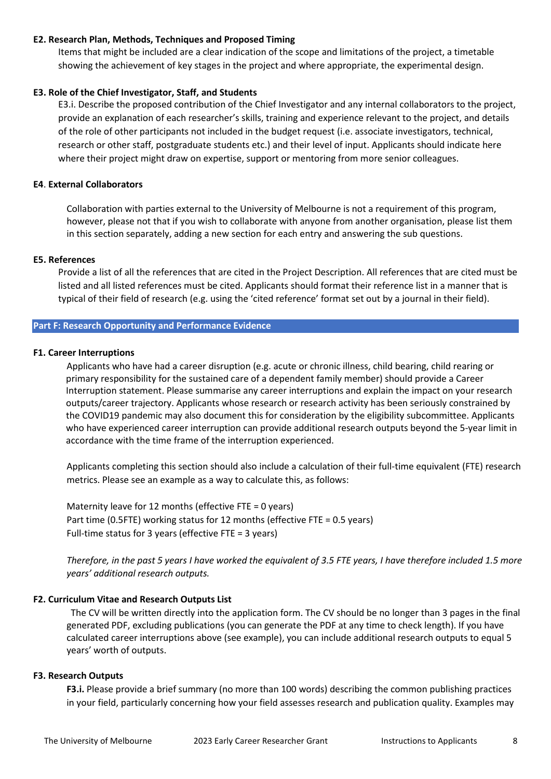### **E2. Research Plan, Methods, Techniques and Proposed Timing**

Items that might be included are a clear indication of the scope and limitations of the project, a timetable showing the achievement of key stages in the project and where appropriate, the experimental design.

### **E3. Role of the Chief Investigator, Staff, and Students**

E3.i. Describe the proposed contribution of the Chief Investigator and any internal collaborators to the project, provide an explanation of each researcher's skills, training and experience relevant to the project, and details of the role of other participants not included in the budget request (i.e. associate investigators, technical, research or other staff, postgraduate students etc.) and their level of input. Applicants should indicate here where their project might draw on expertise, support or mentoring from more senior colleagues.

### **E4**. **External Collaborators**

Collaboration with parties external to the University of Melbourne is not a requirement of this program, however, please not that if you wish to collaborate with anyone from another organisation, please list them in this section separately, adding a new section for each entry and answering the sub questions.

### **E5. References**

Provide a list of all the references that are cited in the Project Description. All references that are cited must be listed and all listed references must be cited. Applicants should format their reference list in a manner that is typical of their field of research (e.g. using the 'cited reference' format set out by a journal in their field).

### **Part F: Research Opportunity and Performance Evidence**

### **F1. Career Interruptions**

Applicants who have had a career disruption (e.g. acute or chronic illness, child bearing, child rearing or primary responsibility for the sustained care of a dependent family member) should provide a Career Interruption statement. Please summarise any career interruptions and explain the impact on your research outputs/career trajectory. Applicants whose research or research activity has been seriously constrained by the COVID19 pandemic may also document this for consideration by the eligibility subcommittee. Applicants who have experienced career interruption can provide additional research outputs beyond the 5-year limit in accordance with the time frame of the interruption experienced.

Applicants completing this section should also include a calculation of their full-time equivalent (FTE) research metrics. Please see an example as a way to calculate this, as follows:

Maternity leave for 12 months (effective FTE = 0 years) Part time (0.5FTE) working status for 12 months (effective FTE = 0.5 years) Full-time status for 3 years (effective FTE = 3 years)

*Therefore, in the past 5 years I have worked the equivalent of 3.5 FTE years, I have therefore included 1.5 more years' additional research outputs.*

### **F2. Curriculum Vitae and Research Outputs List**

The CV will be written directly into the application form. The CV should be no longer than 3 pages in the final generated PDF, excluding publications (you can generate the PDF at any time to check length). If you have calculated career interruptions above (see example), you can include additional research outputs to equal 5 years' worth of outputs.

### **F3. Research Outputs**

**F3.i.** Please provide a brief summary (no more than 100 words) describing the common publishing practices in your field, particularly concerning how your field assesses research and publication quality. Examples may